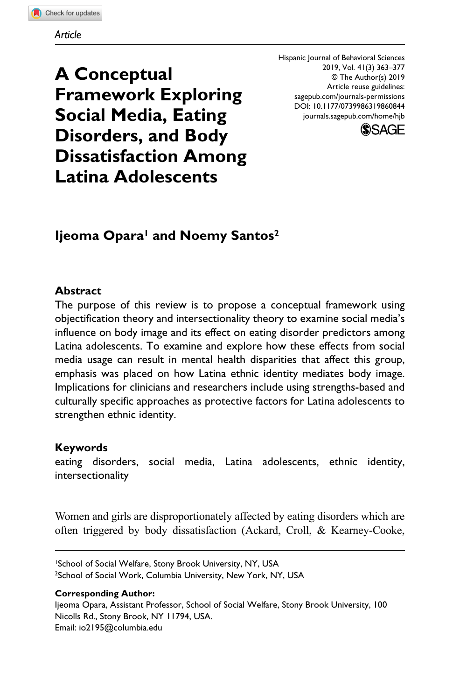**A Conceptual Framework Exploring Social Media, Eating Disorders, and Body Dissatisfaction Among Latina Adolescents**

DOI: 10.1177/0739986319860844 Hispanic Journal of Behavioral Sciences 2019, Vol. 41(3) 363–377 © The Author(s) 2019 Article reuse guidelines: [sagepub.com/journals-permissions](https://us.sagepub.com/en-us/journals-permissions) [journals.sagepub.com/home/hjb](https://journals.sagepub.com/home/hjb)



# **Ijeoma Opara1 and Noemy Santos2**

## **Abstract**

The purpose of this review is to propose a conceptual framework using objectification theory and intersectionality theory to examine social media's influence on body image and its effect on eating disorder predictors among Latina adolescents. To examine and explore how these effects from social media usage can result in mental health disparities that affect this group, emphasis was placed on how Latina ethnic identity mediates body image. Implications for clinicians and researchers include using strengths-based and culturally specific approaches as protective factors for Latina adolescents to strengthen ethnic identity.

### **Keywords**

eating disorders, social media, Latina adolescents, ethnic identity, intersectionality

Women and girls are disproportionately affected by eating disorders which are often triggered by body dissatisfaction (Ackard, Croll, & Kearney-Cooke,

1School of Social Welfare, Stony Brook University, NY, USA <sup>2</sup>School of Social Work, Columbia University, New York, NY, USA

#### **Corresponding Author:**

Ijeoma Opara, Assistant Professor, School of Social Welfare, Stony Brook University, 100 Nicolls Rd., Stony Brook, NY 11794, USA. Email: [io2195@columbia.edu](mailto:io2195@columbia.edu)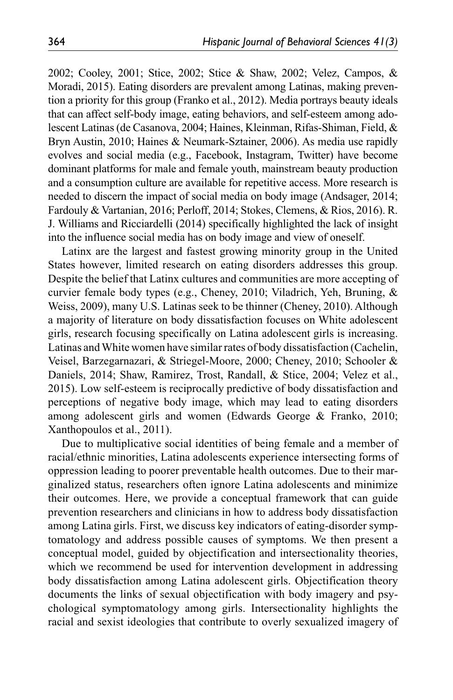2002; Cooley, 2001; Stice, 2002; Stice & Shaw, 2002; Velez, Campos, & Moradi, 2015). Eating disorders are prevalent among Latinas, making prevention a priority for this group (Franko et al., 2012). Media portrays beauty ideals that can affect self-body image, eating behaviors, and self-esteem among adolescent Latinas (de Casanova, 2004; Haines, Kleinman, Rifas-Shiman, Field, & Bryn Austin, 2010; Haines & Neumark-Sztainer, 2006). As media use rapidly evolves and social media (e.g., Facebook, Instagram, Twitter) have become dominant platforms for male and female youth, mainstream beauty production and a consumption culture are available for repetitive access. More research is needed to discern the impact of social media on body image (Andsager, 2014; Fardouly & Vartanian, 2016; Perloff, 2014; Stokes, Clemens, & Rios, 2016). R. J. Williams and Ricciardelli (2014) specifically highlighted the lack of insight into the influence social media has on body image and view of oneself.

Latinx are the largest and fastest growing minority group in the United States however, limited research on eating disorders addresses this group. Despite the belief that Latinx cultures and communities are more accepting of curvier female body types (e.g., Cheney, 2010; Viladrich, Yeh, Bruning, & Weiss, 2009), many U.S. Latinas seek to be thinner (Cheney, 2010). Although a majority of literature on body dissatisfaction focuses on White adolescent girls, research focusing specifically on Latina adolescent girls is increasing. Latinas and White women have similar rates of body dissatisfaction (Cachelin, Veisel, Barzegarnazari, & Striegel-Moore, 2000; Cheney, 2010; Schooler & Daniels, 2014; Shaw, Ramirez, Trost, Randall, & Stice, 2004; Velez et al., 2015). Low self-esteem is reciprocally predictive of body dissatisfaction and perceptions of negative body image, which may lead to eating disorders among adolescent girls and women (Edwards George & Franko, 2010; Xanthopoulos et al., 2011).

Due to multiplicative social identities of being female and a member of racial/ethnic minorities, Latina adolescents experience intersecting forms of oppression leading to poorer preventable health outcomes. Due to their marginalized status, researchers often ignore Latina adolescents and minimize their outcomes. Here, we provide a conceptual framework that can guide prevention researchers and clinicians in how to address body dissatisfaction among Latina girls. First, we discuss key indicators of eating-disorder symptomatology and address possible causes of symptoms. We then present a conceptual model, guided by objectification and intersectionality theories, which we recommend be used for intervention development in addressing body dissatisfaction among Latina adolescent girls. Objectification theory documents the links of sexual objectification with body imagery and psychological symptomatology among girls. Intersectionality highlights the racial and sexist ideologies that contribute to overly sexualized imagery of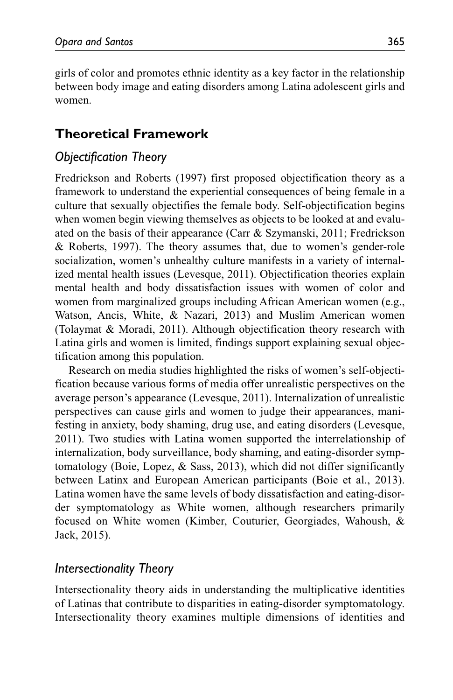girls of color and promotes ethnic identity as a key factor in the relationship between body image and eating disorders among Latina adolescent girls and women.

# **Theoretical Framework**

# *Objectification Theory*

Fredrickson and Roberts (1997) first proposed objectification theory as a framework to understand the experiential consequences of being female in a culture that sexually objectifies the female body. Self-objectification begins when women begin viewing themselves as objects to be looked at and evaluated on the basis of their appearance (Carr & Szymanski, 2011; Fredrickson & Roberts, 1997). The theory assumes that, due to women's gender-role socialization, women's unhealthy culture manifests in a variety of internalized mental health issues (Levesque, 2011). Objectification theories explain mental health and body dissatisfaction issues with women of color and women from marginalized groups including African American women (e.g., Watson, Ancis, White, & Nazari, 2013) and Muslim American women (Tolaymat & Moradi, 2011). Although objectification theory research with Latina girls and women is limited, findings support explaining sexual objectification among this population.

Research on media studies highlighted the risks of women's self-objectification because various forms of media offer unrealistic perspectives on the average person's appearance (Levesque, 2011). Internalization of unrealistic perspectives can cause girls and women to judge their appearances, manifesting in anxiety, body shaming, drug use, and eating disorders (Levesque, 2011). Two studies with Latina women supported the interrelationship of internalization, body surveillance, body shaming, and eating-disorder symptomatology (Boie, Lopez, & Sass, 2013), which did not differ significantly between Latinx and European American participants (Boie et al., 2013). Latina women have the same levels of body dissatisfaction and eating-disorder symptomatology as White women, although researchers primarily focused on White women (Kimber, Couturier, Georgiades, Wahoush, & Jack, 2015).

## *Intersectionality Theory*

Intersectionality theory aids in understanding the multiplicative identities of Latinas that contribute to disparities in eating-disorder symptomatology. Intersectionality theory examines multiple dimensions of identities and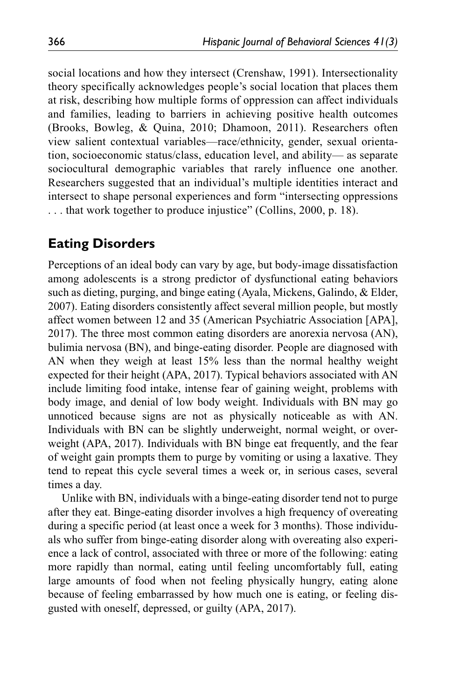social locations and how they intersect (Crenshaw, 1991). Intersectionality theory specifically acknowledges people's social location that places them at risk, describing how multiple forms of oppression can affect individuals and families, leading to barriers in achieving positive health outcomes (Brooks, Bowleg, & Quina, 2010; Dhamoon, 2011). Researchers often view salient contextual variables—race/ethnicity, gender, sexual orientation, socioeconomic status/class, education level, and ability— as separate sociocultural demographic variables that rarely influence one another. Researchers suggested that an individual's multiple identities interact and intersect to shape personal experiences and form "intersecting oppressions . . . that work together to produce injustice" (Collins, 2000, p. 18).

# **Eating Disorders**

Perceptions of an ideal body can vary by age, but body-image dissatisfaction among adolescents is a strong predictor of dysfunctional eating behaviors such as dieting, purging, and binge eating (Ayala, Mickens, Galindo, & Elder, 2007). Eating disorders consistently affect several million people, but mostly affect women between 12 and 35 (American Psychiatric Association [APA], 2017). The three most common eating disorders are anorexia nervosa (AN), bulimia nervosa (BN), and binge-eating disorder. People are diagnosed with AN when they weigh at least 15% less than the normal healthy weight expected for their height (APA, 2017). Typical behaviors associated with AN include limiting food intake, intense fear of gaining weight, problems with body image, and denial of low body weight. Individuals with BN may go unnoticed because signs are not as physically noticeable as with AN. Individuals with BN can be slightly underweight, normal weight, or overweight (APA, 2017). Individuals with BN binge eat frequently, and the fear of weight gain prompts them to purge by vomiting or using a laxative. They tend to repeat this cycle several times a week or, in serious cases, several times a day.

Unlike with BN, individuals with a binge-eating disorder tend not to purge after they eat. Binge-eating disorder involves a high frequency of overeating during a specific period (at least once a week for 3 months). Those individuals who suffer from binge-eating disorder along with overeating also experience a lack of control, associated with three or more of the following: eating more rapidly than normal, eating until feeling uncomfortably full, eating large amounts of food when not feeling physically hungry, eating alone because of feeling embarrassed by how much one is eating, or feeling disgusted with oneself, depressed, or guilty (APA, 2017).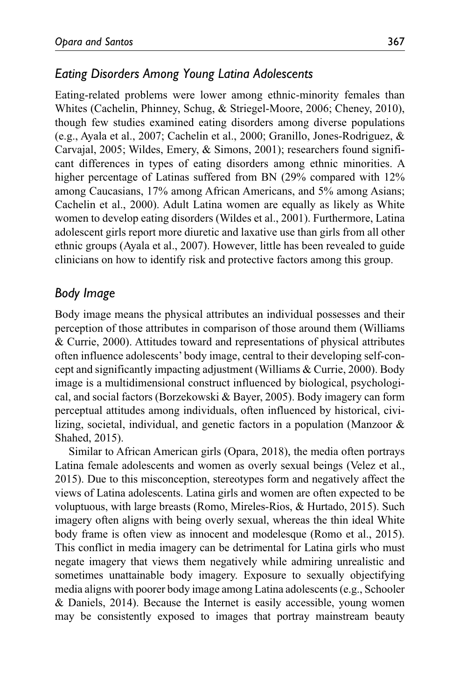## *Eating Disorders Among Young Latina Adolescents*

Eating-related problems were lower among ethnic-minority females than Whites (Cachelin, Phinney, Schug, & Striegel-Moore, 2006; Cheney, 2010), though few studies examined eating disorders among diverse populations (e.g., Ayala et al., 2007; Cachelin et al., 2000; Granillo, Jones-Rodriguez, & Carvajal, 2005; Wildes, Emery, & Simons, 2001); researchers found significant differences in types of eating disorders among ethnic minorities. A higher percentage of Latinas suffered from BN (29% compared with  $12\%$ ) among Caucasians, 17% among African Americans, and 5% among Asians; Cachelin et al., 2000). Adult Latina women are equally as likely as White women to develop eating disorders (Wildes et al., 2001). Furthermore, Latina adolescent girls report more diuretic and laxative use than girls from all other ethnic groups (Ayala et al., 2007). However, little has been revealed to guide clinicians on how to identify risk and protective factors among this group.

### *Body Image*

Body image means the physical attributes an individual possesses and their perception of those attributes in comparison of those around them (Williams & Currie, 2000). Attitudes toward and representations of physical attributes often influence adolescents' body image, central to their developing self-concept and significantly impacting adjustment (Williams & Currie, 2000). Body image is a multidimensional construct influenced by biological, psychological, and social factors (Borzekowski & Bayer, 2005). Body imagery can form perceptual attitudes among individuals, often influenced by historical, civilizing, societal, individual, and genetic factors in a population (Manzoor & Shahed, 2015).

Similar to African American girls (Opara, 2018), the media often portrays Latina female adolescents and women as overly sexual beings (Velez et al., 2015). Due to this misconception, stereotypes form and negatively affect the views of Latina adolescents. Latina girls and women are often expected to be voluptuous, with large breasts (Romo, Mireles-Rios, & Hurtado, 2015). Such imagery often aligns with being overly sexual, whereas the thin ideal White body frame is often view as innocent and modelesque (Romo et al., 2015). This conflict in media imagery can be detrimental for Latina girls who must negate imagery that views them negatively while admiring unrealistic and sometimes unattainable body imagery. Exposure to sexually objectifying media aligns with poorer body image among Latina adolescents (e.g., Schooler & Daniels, 2014). Because the Internet is easily accessible, young women may be consistently exposed to images that portray mainstream beauty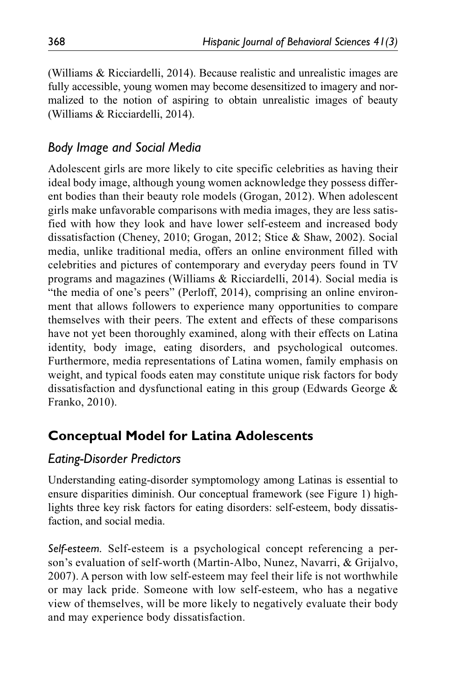(Williams & Ricciardelli, 2014). Because realistic and unrealistic images are fully accessible, young women may become desensitized to imagery and normalized to the notion of aspiring to obtain unrealistic images of beauty (Williams & Ricciardelli, 2014).

# *Body Image and Social Media*

Adolescent girls are more likely to cite specific celebrities as having their ideal body image, although young women acknowledge they possess different bodies than their beauty role models (Grogan, 2012). When adolescent girls make unfavorable comparisons with media images, they are less satisfied with how they look and have lower self-esteem and increased body dissatisfaction (Cheney, 2010; Grogan, 2012; Stice & Shaw, 2002). Social media, unlike traditional media, offers an online environment filled with celebrities and pictures of contemporary and everyday peers found in TV programs and magazines (Williams & Ricciardelli, 2014). Social media is "the media of one's peers" (Perloff, 2014), comprising an online environment that allows followers to experience many opportunities to compare themselves with their peers. The extent and effects of these comparisons have not yet been thoroughly examined, along with their effects on Latina identity, body image, eating disorders, and psychological outcomes. Furthermore, media representations of Latina women, family emphasis on weight, and typical foods eaten may constitute unique risk factors for body dissatisfaction and dysfunctional eating in this group (Edwards George & Franko, 2010).

# **Conceptual Model for Latina Adolescents**

## *Eating-Disorder Predictors*

Understanding eating-disorder symptomology among Latinas is essential to ensure disparities diminish. Our conceptual framework (see Figure 1) highlights three key risk factors for eating disorders: self-esteem, body dissatisfaction, and social media.

*Self-esteem.* Self-esteem is a psychological concept referencing a person's evaluation of self-worth (Martin-Albo, Nunez, Navarri, & Grijalvo, 2007). A person with low self-esteem may feel their life is not worthwhile or may lack pride. Someone with low self-esteem, who has a negative view of themselves, will be more likely to negatively evaluate their body and may experience body dissatisfaction.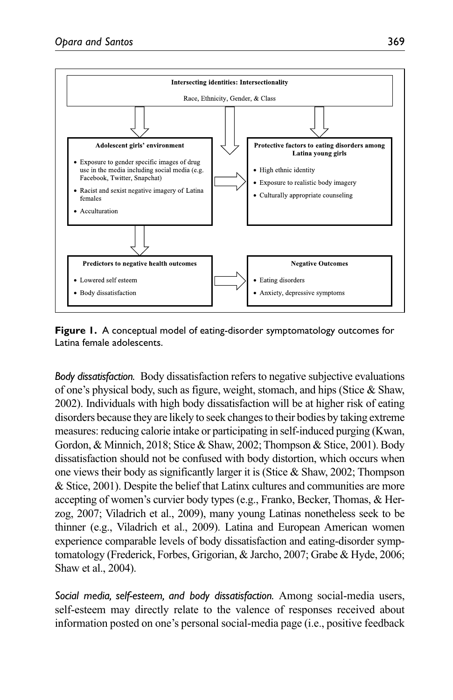

**Figure 1.** A conceptual model of eating-disorder symptomatology outcomes for Latina female adolescents.

*Body dissatisfaction.* Body dissatisfaction refers to negative subjective evaluations of one's physical body, such as figure, weight, stomach, and hips (Stice & Shaw, 2002). Individuals with high body dissatisfaction will be at higher risk of eating disorders because they are likely to seek changes to their bodies by taking extreme measures: reducing calorie intake or participating in self-induced purging (Kwan, Gordon, & Minnich, 2018; Stice & Shaw, 2002; Thompson & Stice, 2001). Body dissatisfaction should not be confused with body distortion, which occurs when one views their body as significantly larger it is (Stice  $\&$  Shaw, 2002; Thompson & Stice, 2001). Despite the belief that Latinx cultures and communities are more accepting of women's curvier body types (e.g., Franko, Becker, Thomas, & Herzog, 2007; Viladrich et al., 2009), many young Latinas nonetheless seek to be thinner (e.g., Viladrich et al., 2009). Latina and European American women experience comparable levels of body dissatisfaction and eating-disorder symptomatology (Frederick, Forbes, Grigorian, & Jarcho, 2007; Grabe & Hyde, 2006; Shaw et al., 2004).

*Social media, self-esteem, and body dissatisfaction.* Among social-media users, self-esteem may directly relate to the valence of responses received about information posted on one's personal social-media page (i.e., positive feedback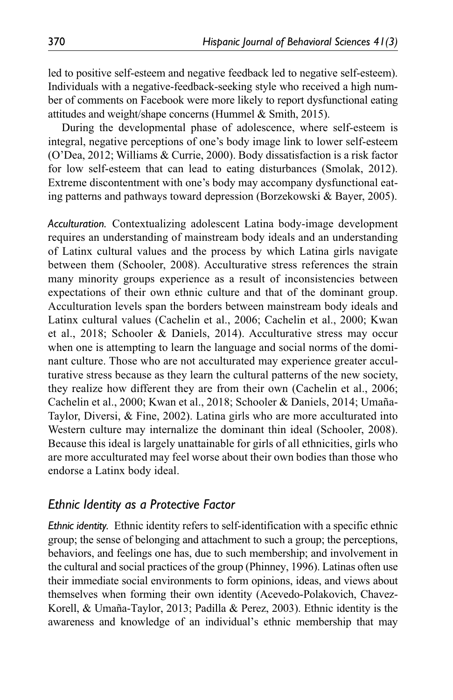led to positive self-esteem and negative feedback led to negative self-esteem). Individuals with a negative-feedback-seeking style who received a high number of comments on Facebook were more likely to report dysfunctional eating attitudes and weight/shape concerns (Hummel & Smith, 2015).

During the developmental phase of adolescence, where self-esteem is integral, negative perceptions of one's body image link to lower self-esteem (O'Dea, 2012; Williams & Currie, 2000). Body dissatisfaction is a risk factor for low self-esteem that can lead to eating disturbances (Smolak, 2012). Extreme discontentment with one's body may accompany dysfunctional eating patterns and pathways toward depression (Borzekowski & Bayer, 2005).

*Acculturation.* Contextualizing adolescent Latina body-image development requires an understanding of mainstream body ideals and an understanding of Latinx cultural values and the process by which Latina girls navigate between them (Schooler, 2008). Acculturative stress references the strain many minority groups experience as a result of inconsistencies between expectations of their own ethnic culture and that of the dominant group. Acculturation levels span the borders between mainstream body ideals and Latinx cultural values (Cachelin et al., 2006; Cachelin et al., 2000; Kwan et al., 2018; Schooler & Daniels, 2014). Acculturative stress may occur when one is attempting to learn the language and social norms of the dominant culture. Those who are not acculturated may experience greater acculturative stress because as they learn the cultural patterns of the new society, they realize how different they are from their own (Cachelin et al., 2006; Cachelin et al., 2000; Kwan et al., 2018; Schooler & Daniels, 2014; Umaña-Taylor, Diversi, & Fine, 2002). Latina girls who are more acculturated into Western culture may internalize the dominant thin ideal (Schooler, 2008). Because this ideal is largely unattainable for girls of all ethnicities, girls who are more acculturated may feel worse about their own bodies than those who endorse a Latinx body ideal.

#### *Ethnic Identity as a Protective Factor*

*Ethnic identity.* Ethnic identity refers to self-identification with a specific ethnic group; the sense of belonging and attachment to such a group; the perceptions, behaviors, and feelings one has, due to such membership; and involvement in the cultural and social practices of the group (Phinney, 1996). Latinas often use their immediate social environments to form opinions, ideas, and views about themselves when forming their own identity (Acevedo-Polakovich, Chavez-Korell, & Umaña-Taylor, 2013; Padilla & Perez, 2003). Ethnic identity is the awareness and knowledge of an individual's ethnic membership that may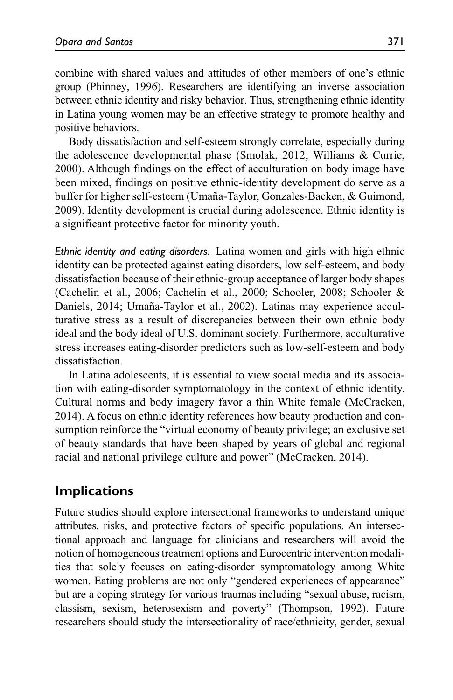combine with shared values and attitudes of other members of one's ethnic group (Phinney, 1996). Researchers are identifying an inverse association between ethnic identity and risky behavior. Thus, strengthening ethnic identity in Latina young women may be an effective strategy to promote healthy and positive behaviors.

Body dissatisfaction and self-esteem strongly correlate, especially during the adolescence developmental phase (Smolak, 2012; Williams & Currie, 2000). Although findings on the effect of acculturation on body image have been mixed, findings on positive ethnic-identity development do serve as a buffer for higher self-esteem (Umaña-Taylor, Gonzales-Backen, & Guimond, 2009). Identity development is crucial during adolescence. Ethnic identity is a significant protective factor for minority youth.

*Ethnic identity and eating disorders.* Latina women and girls with high ethnic identity can be protected against eating disorders, low self-esteem, and body dissatisfaction because of their ethnic-group acceptance of larger body shapes (Cachelin et al., 2006; Cachelin et al., 2000; Schooler, 2008; Schooler & Daniels, 2014; Umaña-Taylor et al., 2002). Latinas may experience acculturative stress as a result of discrepancies between their own ethnic body ideal and the body ideal of U.S. dominant society. Furthermore, acculturative stress increases eating-disorder predictors such as low-self-esteem and body dissatisfaction.

In Latina adolescents, it is essential to view social media and its association with eating-disorder symptomatology in the context of ethnic identity. Cultural norms and body imagery favor a thin White female (McCracken, 2014). A focus on ethnic identity references how beauty production and consumption reinforce the "virtual economy of beauty privilege; an exclusive set of beauty standards that have been shaped by years of global and regional racial and national privilege culture and power" (McCracken, 2014).

# **Implications**

Future studies should explore intersectional frameworks to understand unique attributes, risks, and protective factors of specific populations. An intersectional approach and language for clinicians and researchers will avoid the notion of homogeneous treatment options and Eurocentric intervention modalities that solely focuses on eating-disorder symptomatology among White women. Eating problems are not only "gendered experiences of appearance" but are a coping strategy for various traumas including "sexual abuse, racism, classism, sexism, heterosexism and poverty" (Thompson, 1992). Future researchers should study the intersectionality of race/ethnicity, gender, sexual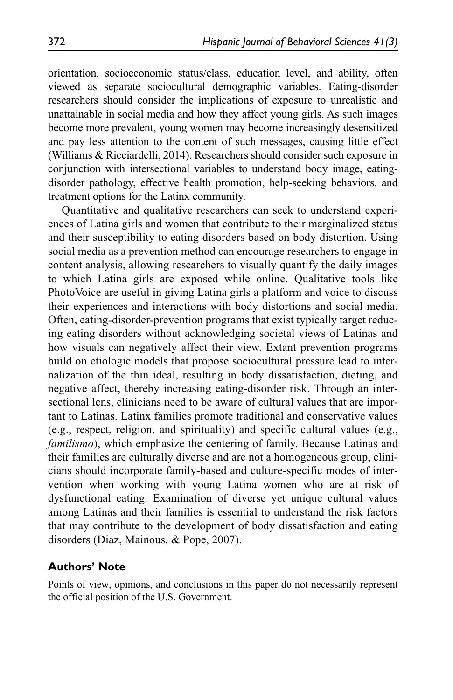orientation, socioeconomic status/class, education level, and ability, often viewed as separate sociocultural demographic variables. Eating-disorder researchers should consider the implications of exposure to unrealistic and unattainable in social media and how they affect young girls. As such images become more prevalent, young women may become increasingly desensitized and pay less attention to the content of such messages, causing little effect (Williams & Ricciardelli, 2014). Researchers should consider such exposure in conjunction with intersectional variables to understand body image, eatingdisorder pathology, effective health promotion, help-seeking behaviors, and treatment options for the Latinx community.

Quantitative and qualitative researchers can seek to understand experiences of Latina girls and women that contribute to their marginalized status and their susceptibility to eating disorders based on body distortion. Using social media as a prevention method can encourage researchers to engage in content analysis, allowing researchers to visually quantify the daily images to which Latina girls are exposed while online. Qualitative tools like PhotoVoice are useful in giving Latina girls a platform and voice to discuss their experiences and interactions with body distortions and social media. Often, eating-disorder-prevention programs that exist typically target reducing eating disorders without acknowledging societal views of Latinas and how visuals can negatively affect their view. Extant prevention programs build on etiologic models that propose sociocultural pressure lead to internalization of the thin ideal, resulting in body dissatisfaction, dieting, and negative affect, thereby increasing eating-disorder risk. Through an intersectional lens, clinicians need to be aware of cultural values that are important to Latinas. Latinx families promote traditional and conservative values (e.g., respect, religion, and spirituality) and specific cultural values (e.g., *familismo*), which emphasize the centering of family. Because Latinas and their families are culturally diverse and are not a homogeneous group, clinicians should incorporate family-based and culture-specific modes of intervention when working with young Latina women who are at risk of dysfunctional eating. Examination of diverse yet unique cultural values among Latinas and their families is essential to understand the risk factors that may contribute to the development of body dissatisfaction and eating disorders (Diaz, Mainous, & Pope, 2007).

#### **Authors' Note**

Points of view, opinions, and conclusions in this paper do not necessarily represent the official position of the U.S. Government.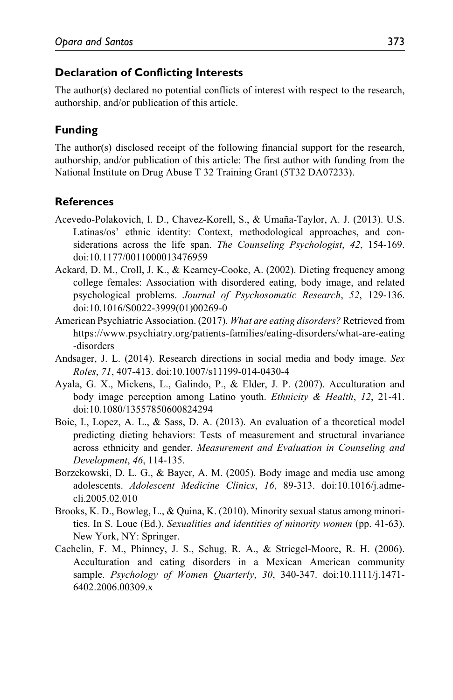### **Declaration of Conflicting Interests**

The author(s) declared no potential conflicts of interest with respect to the research, authorship, and/or publication of this article.

# **Funding**

The author(s) disclosed receipt of the following financial support for the research, authorship, and/or publication of this article: The first author with funding from the National Institute on Drug Abuse T 32 Training Grant (5T32 DA07233).

## **References**

- Acevedo-Polakovich, I. D., Chavez-Korell, S., & Umaña-Taylor, A. J. (2013). U.S. Latinas/os' ethnic identity: Context, methodological approaches, and considerations across the life span. *The Counseling Psychologist*, *42*, 154-169. doi:10.1177/0011000013476959
- Ackard, D. M., Croll, J. K., & Kearney-Cooke, A. (2002). Dieting frequency among college females: Association with disordered eating, body image, and related psychological problems. *Journal of Psychosomatic Research*, *52*, 129-136. doi:10.1016/S0022-3999(01)00269-0
- American Psychiatric Association. (2017). *What are eating disorders?* Retrieved from [https://www.psychiatry.org/patients-families/eating-disorders/what-are-eating](https://www.psychiatry.org/patients-families/eating-disorders/what-are-eating-disorders) [-disorders](https://www.psychiatry.org/patients-families/eating-disorders/what-are-eating-disorders)
- Andsager, J. L. (2014). Research directions in social media and body image. *Sex Roles*, *71*, 407-413. doi:10.1007/s11199-014-0430-4
- Ayala, G. X., Mickens, L., Galindo, P., & Elder, J. P. (2007). Acculturation and body image perception among Latino youth. *Ethnicity & Health*, *12*, 21-41. doi:10.1080/13557850600824294
- Boie, I., Lopez, A. L., & Sass, D. A. (2013). An evaluation of a theoretical model predicting dieting behaviors: Tests of measurement and structural invariance across ethnicity and gender. *Measurement and Evaluation in Counseling and Development*, *46*, 114-135.
- Borzekowski, D. L. G., & Bayer, A. M. (2005). Body image and media use among adolescents. *Adolescent Medicine Clinics*, *16*, 89-313. doi:10.1016/j.admecli.2005.02.010
- Brooks, K. D., Bowleg, L., & Quina, K. (2010). Minority sexual status among minorities. In S. Loue (Ed.), *Sexualities and identities of minority women* (pp. 41-63). New York, NY: Springer.
- Cachelin, F. M., Phinney, J. S., Schug, R. A., & Striegel-Moore, R. H. (2006). Acculturation and eating disorders in a Mexican American community sample. *Psychology of Women Quarterly*, *30*, 340-347. doi:10.1111/j.1471- 6402.2006.00309.x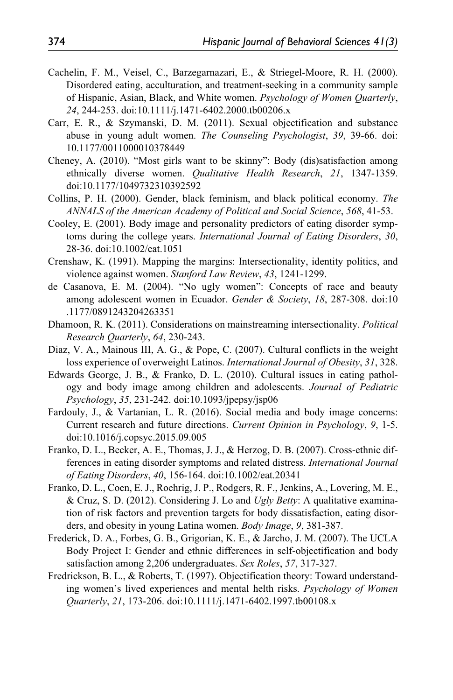- Cachelin, F. M., Veisel, C., Barzegarnazari, E., & Striegel-Moore, R. H. (2000). Disordered eating, acculturation, and treatment-seeking in a community sample of Hispanic, Asian, Black, and White women. *Psychology of Women Quarterly*, *24*, 244-253. doi:10.1111/j.1471-6402.2000.tb00206.x
- Carr, E. R., & Szymanski, D. M. (2011). Sexual objectification and substance abuse in young adult women. *The Counseling Psychologist*, *39*, 39-66. doi: 10.1177/0011000010378449
- Cheney, A. (2010). "Most girls want to be skinny": Body (dis)satisfaction among ethnically diverse women. *Qualitative Health Research*, *21*, 1347-1359. doi:10.1177/1049732310392592
- Collins, P. H. (2000). Gender, black feminism, and black political economy. *The ANNALS of the American Academy of Political and Social Science*, *568*, 41-53.
- Cooley, E. (2001). Body image and personality predictors of eating disorder symptoms during the college years. *International Journal of Eating Disorders*, *30*, 28-36. doi:10.1002/eat.1051
- Crenshaw, K. (1991). Mapping the margins: Intersectionality, identity politics, and violence against women. *Stanford Law Review*, *43*, 1241-1299.
- de Casanova, E. M. (2004). "No ugly women": Concepts of race and beauty among adolescent women in Ecuador. *Gender & Society*, *18*, 287-308. doi:10 .1177/0891243204263351
- Dhamoon, R. K. (2011). Considerations on mainstreaming intersectionality. *Political Research Quarterly*, *64*, 230-243.
- Diaz, V. A., Mainous III, A. G., & Pope, C. (2007). Cultural conflicts in the weight loss experience of overweight Latinos. *International Journal of Obesity*, *31*, 328.
- Edwards George, J. B., & Franko, D. L. (2010). Cultural issues in eating pathology and body image among children and adolescents. *Journal of Pediatric Psychology*, *35*, 231-242. doi:10.1093/jpepsy/jsp06
- Fardouly, J., & Vartanian, L. R. (2016). Social media and body image concerns: Current research and future directions. *Current Opinion in Psychology*, *9*, 1-5. doi:10.1016/j.copsyc.2015.09.005
- Franko, D. L., Becker, A. E., Thomas, J. J., & Herzog, D. B. (2007). Cross-ethnic differences in eating disorder symptoms and related distress. *International Journal of Eating Disorders*, *40*, 156-164. doi:10.1002/eat.20341
- Franko, D. L., Coen, E. J., Roehrig, J. P., Rodgers, R. F., Jenkins, A., Lovering, M. E., & Cruz, S. D. (2012). Considering J. Lo and *Ugly Betty*: A qualitative examination of risk factors and prevention targets for body dissatisfaction, eating disorders, and obesity in young Latina women. *Body Image*, *9*, 381-387.
- Frederick, D. A., Forbes, G. B., Grigorian, K. E., & Jarcho, J. M. (2007). The UCLA Body Project I: Gender and ethnic differences in self-objectification and body satisfaction among 2,206 undergraduates. *Sex Roles*, *57*, 317-327.
- Fredrickson, B. L., & Roberts, T. (1997). Objectification theory: Toward understanding women's lived experiences and mental helth risks. *Psychology of Women Quarterly*, *21*, 173-206. doi:10.1111/j.1471-6402.1997.tb00108.x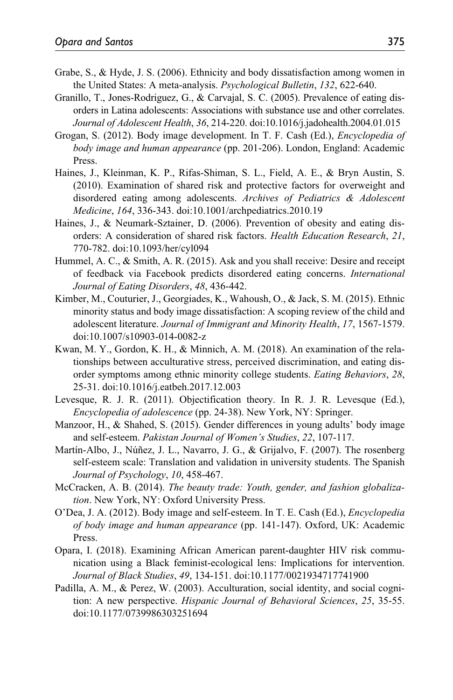- Grabe, S., & Hyde, J. S. (2006). Ethnicity and body dissatisfaction among women in the United States: A meta-analysis. *Psychological Bulletin*, *132*, 622-640.
- Granillo, T., Jones-Rodriguez, G., & Carvajal, S. C. (2005). Prevalence of eating disorders in Latina adolescents: Associations with substance use and other correlates. *Journal of Adolescent Health*, *36*, 214-220. doi:10.1016/j.jadohealth.2004.01.015
- Grogan, S. (2012). Body image development. In T. F. Cash (Ed.), *Encyclopedia of body image and human appearance* (pp. 201-206). London, England: Academic Press.
- Haines, J., Kleinman, K. P., Rifas-Shiman, S. L., Field, A. E., & Bryn Austin, S. (2010). Examination of shared risk and protective factors for overweight and disordered eating among adolescents. *Archives of Pediatrics & Adolescent Medicine*, *164*, 336-343. doi:10.1001/archpediatrics.2010.19
- Haines, J., & Neumark-Sztainer, D. (2006). Prevention of obesity and eating disorders: A consideration of shared risk factors. *Health Education Research*, *21*, 770-782. doi:10.1093/her/cyl094
- Hummel, A. C., & Smith, A. R. (2015). Ask and you shall receive: Desire and receipt of feedback via Facebook predicts disordered eating concerns. *International Journal of Eating Disorders*, *48*, 436-442.
- Kimber, M., Couturier, J., Georgiades, K., Wahoush, O., & Jack, S. M. (2015). Ethnic minority status and body image dissatisfaction: A scoping review of the child and adolescent literature. *Journal of Immigrant and Minority Health*, *17*, 1567-1579. doi:10.1007/s10903-014-0082-z
- Kwan, M. Y., Gordon, K. H., & Minnich, A. M. (2018). An examination of the relationships between acculturative stress, perceived discrimination, and eating disorder symptoms among ethnic minority college students. *Eating Behaviors*, *28*, 25-31. doi:10.1016/j.eatbeh.2017.12.003
- Levesque, R. J. R. (2011). Objectification theory. In R. J. R. Levesque (Ed.), *Encyclopedia of adolescence* (pp. 24-38). New York, NY: Springer.
- Manzoor, H., & Shahed, S. (2015). Gender differences in young adults' body image and self-esteem. *Pakistan Journal of Women's Studies*, *22*, 107-117.
- Martín-Albo, J., Núñez, J. L., Navarro, J. G., & Grijalvo, F. (2007). The rosenberg self-esteem scale: Translation and validation in university students. The Spanish *Journal of Psychology*, *10*, 458-467.
- McCracken, A. B. (2014). *The beauty trade: Youth, gender, and fashion globalization*. New York, NY: Oxford University Press.
- O'Dea, J. A. (2012). Body image and self-esteem. In T. E. Cash (Ed.), *Encyclopedia of body image and human appearance* (pp. 141-147). Oxford, UK: Academic Press.
- Opara, I. (2018). Examining African American parent-daughter HIV risk communication using a Black feminist-ecological lens: Implications for intervention. *Journal of Black Studies*, *49*, 134-151. doi:10.1177/0021934717741900
- Padilla, A. M., & Perez, W. (2003). Acculturation, social identity, and social cognition: A new perspective. *Hispanic Journal of Behavioral Sciences*, *25*, 35-55. doi:10.1177/0739986303251694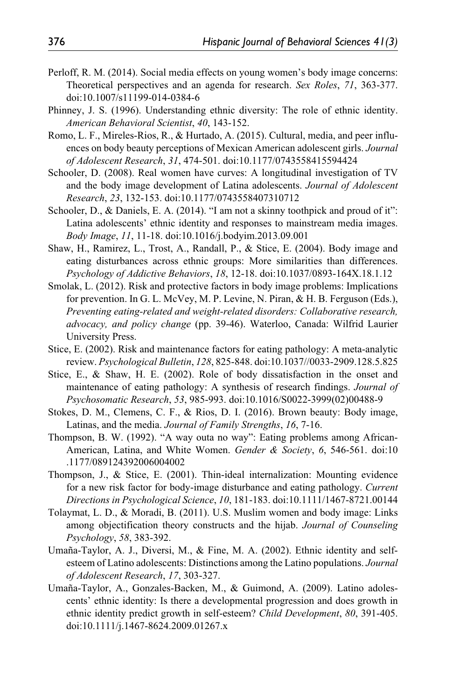- Perloff, R. M. (2014). Social media effects on young women's body image concerns: Theoretical perspectives and an agenda for research. *Sex Roles*, *71*, 363-377. doi:10.1007/s11199-014-0384-6
- Phinney, J. S. (1996). Understanding ethnic diversity: The role of ethnic identity. *American Behavioral Scientist*, *40*, 143-152.
- Romo, L. F., Mireles-Rios, R., & Hurtado, A. (2015). Cultural, media, and peer influences on body beauty perceptions of Mexican American adolescent girls. *Journal of Adolescent Research*, *31*, 474-501. doi:10.1177/0743558415594424
- Schooler, D. (2008). Real women have curves: A longitudinal investigation of TV and the body image development of Latina adolescents. *Journal of Adolescent Research*, *23*, 132-153. doi:10.1177/0743558407310712
- Schooler, D., & Daniels, E. A. (2014). "I am not a skinny toothpick and proud of it": Latina adolescents' ethnic identity and responses to mainstream media images. *Body Image*, *11*, 11-18. doi:10.1016/j.bodyim.2013.09.001
- Shaw, H., Ramirez, L., Trost, A., Randall, P., & Stice, E. (2004). Body image and eating disturbances across ethnic groups: More similarities than differences. *Psychology of Addictive Behaviors*, *18*, 12-18. doi:10.1037/0893-164X.18.1.12
- Smolak, L. (2012). Risk and protective factors in body image problems: Implications for prevention. In G. L. McVey, M. P. Levine, N. Piran, & H. B. Ferguson (Eds.), *Preventing eating-related and weight-related disorders: Collaborative research, advocacy, and policy change* (pp. 39-46). Waterloo, Canada: Wilfrid Laurier University Press.
- Stice, E. (2002). Risk and maintenance factors for eating pathology: A meta-analytic review. *Psychological Bulletin*, *128*, 825-848. doi:10.1037//0033-2909.128.5.825
- Stice, E., & Shaw, H. E. (2002). Role of body dissatisfaction in the onset and maintenance of eating pathology: A synthesis of research findings. *Journal of Psychosomatic Research*, *53*, 985-993. doi:10.1016/S0022-3999(02)00488-9
- Stokes, D. M., Clemens, C. F., & Rios, D. I. (2016). Brown beauty: Body image, Latinas, and the media. *Journal of Family Strengths*, *16*, 7-16.
- Thompson, B. W. (1992). "A way outa no way": Eating problems among African-American, Latina, and White Women. *Gender & Society*, *6*, 546-561. doi:10 .1177/089124392006004002
- Thompson, J., & Stice, E. (2001). Thin-ideal internalization: Mounting evidence for a new risk factor for body-image disturbance and eating pathology. *Current Directions in Psychological Science*, *10*, 181-183. doi:10.1111/1467-8721.00144
- Tolaymat, L. D., & Moradi, B. (2011). U.S. Muslim women and body image: Links among objectification theory constructs and the hijab. *Journal of Counseling Psychology*, *58*, 383-392.
- Umaña-Taylor, A. J., Diversi, M., & Fine, M. A. (2002). Ethnic identity and selfesteem of Latino adolescents: Distinctions among the Latino populations. *Journal of Adolescent Research*, *17*, 303-327.
- Umaña-Taylor, A., Gonzales-Backen, M., & Guimond, A. (2009). Latino adolescents' ethnic identity: Is there a developmental progression and does growth in ethnic identity predict growth in self-esteem? *Child Development*, *80*, 391-405. doi:10.1111/j.1467-8624.2009.01267.x